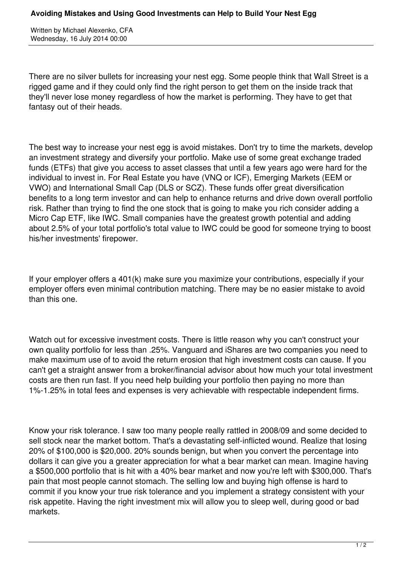Written by Michael Alexenko, CFA Wednesday, 16 July 2014 00:00

There are no silver bullets for increasing your nest egg. Some people think that Wall Street is a rigged game and if they could only find the right person to get them on the inside track that they'll never lose money regardless of how the market is performing. They have to get that fantasy out of their heads.

The best way to increase your nest egg is avoid mistakes. Don't try to time the markets, develop an investment strategy and diversify your portfolio. Make use of some great exchange traded funds (ETFs) that give you access to asset classes that until a few years ago were hard for the individual to invest in. For Real Estate you have (VNQ or ICF), Emerging Markets (EEM or VWO) and International Small Cap (DLS or SCZ). These funds offer great diversification benefits to a long term investor and can help to enhance returns and drive down overall portfolio risk. Rather than trying to find the one stock that is going to make you rich consider adding a Micro Cap ETF, like IWC. Small companies have the greatest growth potential and adding about 2.5% of your total portfolio's total value to IWC could be good for someone trying to boost his/her investments' firepower.

If your employer offers a 401(k) make sure you maximize your contributions, especially if your employer offers even minimal contribution matching. There may be no easier mistake to avoid than this one.

Watch out for excessive investment costs. There is little reason why you can't construct your own quality portfolio for less than .25%. Vanguard and iShares are two companies you need to make maximum use of to avoid the return erosion that high investment costs can cause. If you can't get a straight answer from a broker/financial advisor about how much your total investment costs are then run fast. If you need help building your portfolio then paying no more than 1%-1.25% in total fees and expenses is very achievable with respectable independent firms.

Know your risk tolerance. I saw too many people really rattled in 2008/09 and some decided to sell stock near the market bottom. That's a devastating self-inflicted wound. Realize that losing 20% of \$100,000 is \$20,000. 20% sounds benign, but when you convert the percentage into dollars it can give you a greater appreciation for what a bear market can mean. Imagine having a \$500,000 portfolio that is hit with a 40% bear market and now you're left with \$300,000. That's pain that most people cannot stomach. The selling low and buying high offense is hard to commit if you know your true risk tolerance and you implement a strategy consistent with your risk appetite. Having the right investment mix will allow you to sleep well, during good or bad markets.